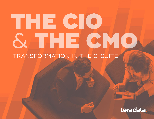# THE CIO & THE CMO TRANSFORMATION IN THE C-SUITE

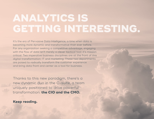## **ANALYTICS IS GETTING INTERESTING.**

It's the era of Pervasive Data Intelligence, a time when data is becoming more dynamic and transformative than ever before. For any organization seeking a competitive advantage, engaging with the flow of data isn't merely a clever tactical tool: it's mission critical. Two imperative business disciplines are at the front of this digital transformation: IT and marketing. These two departments are poised to radically transform the customer experience and bring data front and center as a tool for business.

 Thanks to this new paradigm, there's a new dynamic duo in the C-suite, a team uniquely positioned to drive powerful transformation: **the CIO and the CMO.**

### **Keep reading.**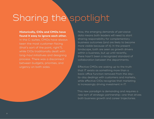## Sharing the spotlight

#### **Historically, CIOs and CMOs have found it easy to ignore each other.**

In the C-suites, CMOs have always been the most customer-facing (that's sort of the point, right?), while CIOs traditionally dealt with long-haul initiatives and designing process. There was a disconnect between budgets, priorities, and urgency on both sides.

Now, the emerging demands of pervasive data means both leaders will need to start sharing responsibility for complementary business outcomes (and are likely to become more visible because of it). In the present landscape, both are seen as growth drivers within a business, but up until recently, there hasn't been a recognized standard of collaboration between the departments.

Effective CMOs are waking up to the truth that IT exists as something more than a back-office function removed from the dayto-day dealings with customers and markets, while effective CIOs recognize that marketing is increasingly driving investment in IT.

This new paradigm is demanding and requires a new sort of strategic partnership—one that drives both business growth and career trajectories.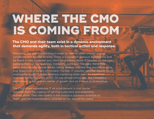## **WHERE THE CMO IS COMING FROM**

**The CMO and their team exist in a dynamic environment that demands agility, both in tactical action and response.** 

Marketing requires fluid thinking in order to take on often chaotic market conditions and exterior threats. There is a constant pressure to integrate and be fluent in new customer and client touchpoints. While IT focuses on the core systems that run the business, marketing owns and manages many thirdparty data sources (social media, rating reviews, and the like) and information that flows from a variety of martech. Further, IT requires detailed requirements and business justifications, whereas marketing often looks to experiment and test to find out what works. On top of everything else, the marketing department is the primary center of growth and as a result is centerstage.

The CMO often experiences IT as a bottleneck; a cost center removed from the urgency of serving customers and expanding market share. They see rigidity in the analytics solutions available to them, and the implementation process as too slow to be useful.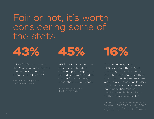### Fair or not, it's worth considering some of the stats:



"43% of CIOs now believe that 'marketing requirements and priorities change too often for us to keep up.'"

Accenture, Cutting Across the CMO-CIO Divide

"45% of CIOs say that 'the complexity of handling channel-specific experiences precludes us from providing one platform to manage cross-channel experiences.'"

Accenture, Cutting Across the CMO-CIO Divide

"Chief marketing officers (CMOs) indicate that 16% of their budgets are allocated to innovation, and nearly two thirds expect this number to grow next year. However, marketing leaders rated themselves as relatively low in innovation maturity despite having high ambitions for their ability to innovate."

Spend Survey 2018-2019, November 5, 2018,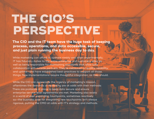## **THE CIO'S PERSPECTIVE**

**The CIO and the IT team have the huge task of keeping process, operations, and data accessible, secure, and just plain running the business day to day.** 

While marketing can afford to operate nimbly and often experimentally, IT has fiduciary duties to the entire enterprise and customers alike, as well as being responsible for maintaining standards that allow safe collaboration with outside partners. They're measured on quality, reliability, and uptime—and have established best-practices to support all those things. New implementations require thoughtful integration, as they should.

While the CIO can appreciate the urgency of marketing's mission, oftentimes the demands of marketing are at odds with their methods: There are protocols in place to keep data secure and ensure enterprise service level agreements are met. Marketing also exists in a world of ever-expanding touchpoints, sometimes reactively so—the business case for integrating new touchpoints isn't always rigorous, putting the CMO at odds with IT's strategy and methods.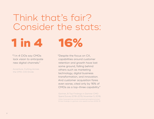Think that's fair? Consider the stats:

**1 in 4 16%**

"1 in 4 CIOs say CMOs lack vision to anticipate new digital channels."

Accenture, Cutting Across the CMO-CIO Divide

"Despite the focus on CX, capabilities around customer retention and growth have lost some ground, falling behind others such as marketing technology, digital business transformation, and innovation. And customer acquisition fares even worse, cited only by 16% of CMOs as a top-three capability."

Gartner, 8 Top Findings in Gartner CMO Spend Survey 2018-2019, November 5, 2018, https://www.gartner.com/en/marketing/insights/articles/ 8-top-findings-in-gartner-cmo-spend-survey-2018-19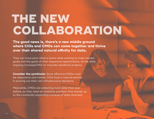## **THE NEW COLLABORATION**

**The good news is, there's a new middle ground where CIOs and CMOs can come together and thrive over their shared natural affinity for data.** 

They can have each other's backs while working to meet shared goals and the goals of their respective departments, all the while enjoying increased ROI on mutually beneficial projects.

**Consider the symbiosis:** Since effective CMOs must be responsive and nimble, CIOs have a natural partner in proving out their own infrastructure decisions.

Meanwhile, CMOs are collecting more data than ever before, so they need an analytics platform that stands up to the constantly expanding universe of data channels.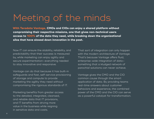### Meeting of the minds

**With Teradata Vantage, CMOs and CIOs can enjoy a shared platform without compromising their respective missions, one that gives non-technical users access to 100% of the data they need, while breaking down the organizational silos that have slowed down innovation in the past.**

Now IT can ensure the stability, reliability, and predictability that their success is measured by, while marketing can enjoy agility and secure experimentation—everything needed to stay innovative and responsive.

Vantage can do that because it has built-in safeguards and fast, self-service provisioning of storage and compute to provide marketing the agility they need without compromising the rigorous standards of IT.

Marketing benefits from greater access to the detailed, integrated, cleansed, and reliable data that IT provisions, and IT benefits from driving more value in the business while reigning in sensitive data and costs.

That sort of integration can only happen with the modern architecture of Vantage. That's because Vantage offers fluid, enterprise-wide integration of data something that a kludged network of parochial solutions can never achieve.

Vantage gives the CMO and the CIO common cause through the smart application of data. By providing teams real-time answers about customer behaviors and experience, the combined power of the CMO and the CIO can serve as a powerful catalyst for transformation.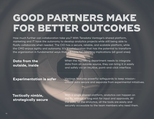## **GOOD PARTNERS MAKE FOR BETTER OUTCOMES**

How much further can collaboration take you? With Teradata Vantage's shared platform, marketing and IT have the autonomy to develop analytics projects while still being able to fluidly collaborate when needed. The CIO has a secure, reliable, and scalable platform, while the CMO enjoys agility and autonomy. It's a collaboration that has the potential to transform the organization in fundamental ways that will have far-reaching implications (all good ones).

### **Data from the outside, inside**

When the marketing department needs to integrate data from an outside source, they can bring it in easily and safely via an intuitive, point-and-click interface.

**Experimentation is safer** Vantage features powerful safeguards to keep missioncritical data secure and separate from experimental initiatives.

### **Tactically nimble, strategically secure**

With a single shared platform, analytics can happen on the fly, without a long wait for input and approvals. All the data, all the analytics, all the tools are easily and securely accessible to the team members who need them.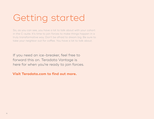## Getting started

So, as you can see, you have a lot to talk about with your cohort in the C-suite. It's time to join forces to make things happen in a truly transformative way. Don't be afraid to dream big. Be sure to take your neighbor out for coffee. You have a lot to talk about.

If you need an ice-breaker, feel free to forward this on. Teradata Vantage is here for when you're ready to join forces.

**Visit Teradata.com to find out more.**